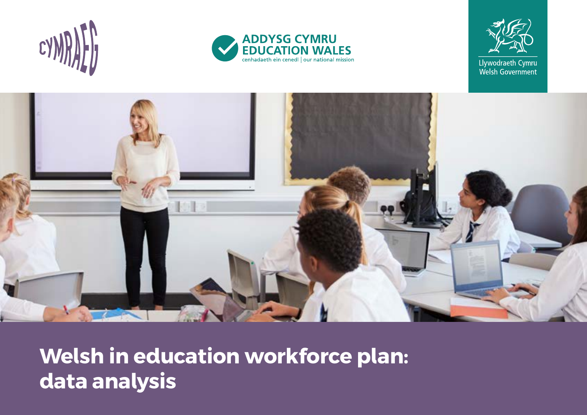







**Welsh in education workforce plan: data analysis**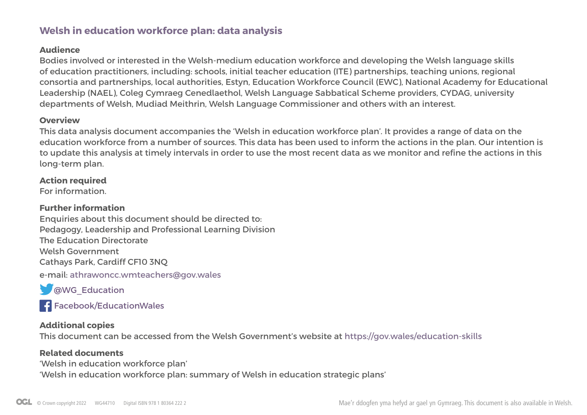# **Welsh in education workforce plan: data analysis**

# **Audience**

Bodies involved or interested in the Welsh-medium education workforce and developing the Welsh language skills of education practitioners, including: schools, initial teacher education (ITE) partnerships, teaching unions, regional consortia and partnerships, local authorities, Estyn, Education Workforce Council (EWC), National Academy for Educational Leadership (NAEL), Coleg Cymraeg Cenedlaethol, Welsh Language Sabbatical Scheme providers, CYDAG, university departments of Welsh, Mudiad Meithrin, Welsh Language Commissioner and others with an interest.

## **Overview**

This data analysis document accompanies the 'Welsh in education workforce plan'. It provides a range of data on the education workforce from a number of sources. This data has been used to inform the actions in the plan. Our intention is to update this analysis at timely intervals in order to use the most recent data as we monitor and refine the actions in this long-term plan.

# **Action required**

For information.

# **Further information**

Enquiries about this document should be directed to: Pedagogy, Leadership and Professional Learning Division The Education Directorate Welsh Government Cathays Park, Cardiff CF10 3NQ

e-mail: athrawoncc.wmteachers@gov.wales

**WG\_Education** 

**F[acebook/EducationWales](https://www.facebook.com/educationwales/)** 

# **Additional copies**

This document can be accessed from the Welsh Government's website at<https://gov.wales/education-skills>

# **Related documents**

'Welsh in education workforce plan' 'Welsh in education workforce plan: summary of Welsh in education strategic plans'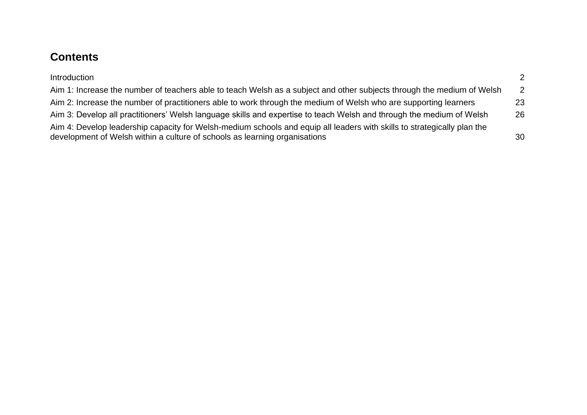# **Contents**

| Introduction                                                                                                                                                                                          | 2  |
|-------------------------------------------------------------------------------------------------------------------------------------------------------------------------------------------------------|----|
| Aim 1: Increase the number of teachers able to teach Welsh as a subject and other subjects through the medium of Welsh                                                                                | 2  |
| Aim 2: Increase the number of practitioners able to work through the medium of Welsh who are supporting learners                                                                                      | 23 |
| Aim 3: Develop all practitioners' Welsh language skills and expertise to teach Welsh and through the medium of Welsh                                                                                  | 26 |
| Aim 4: Develop leadership capacity for Welsh-medium schools and equip all leaders with skills to strategically plan the<br>development of Welsh within a culture of schools as learning organisations | 30 |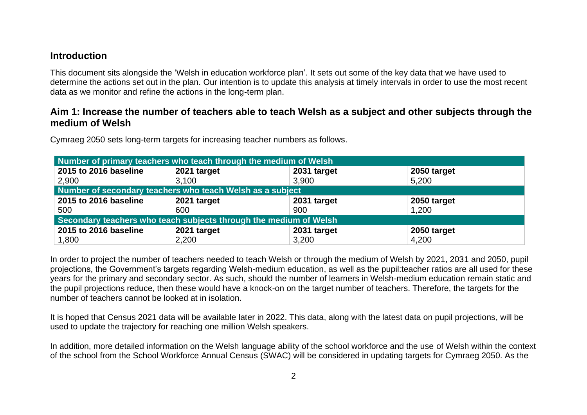# <span id="page-3-0"></span>**Introduction**

This document sits alongside the 'Welsh in education workforce plan'. It sets out some of the key data that we have used to determine the actions set out in the plan. Our intention is to update this analysis at timely intervals in order to use the most recent data as we monitor and refine the actions in the long-term plan.

# <span id="page-3-1"></span>**Aim 1: Increase the number of teachers able to teach Welsh as a subject and other subjects through the medium of Welsh**

Cymraeg 2050 sets long-term targets for increasing teacher numbers as follows.

| Number of primary teachers who teach through the medium of Welsh  |                                           |             |             |  |  |  |
|-------------------------------------------------------------------|-------------------------------------------|-------------|-------------|--|--|--|
| 2015 to 2016 baseline                                             | 2021 target<br>2050 target<br>2031 target |             |             |  |  |  |
| 2,900                                                             | 3,100                                     | 3,900       | 5,200       |  |  |  |
| Number of secondary teachers who teach Welsh as a subject         |                                           |             |             |  |  |  |
| 2015 to 2016 baseline                                             | 2021 target                               | 2031 target | 2050 target |  |  |  |
| 500                                                               | 600                                       | 900         | 1,200       |  |  |  |
| Secondary teachers who teach subjects through the medium of Welsh |                                           |             |             |  |  |  |
| 2015 to 2016 baseline                                             | 2021 target                               | 2031 target | 2050 target |  |  |  |
| 1,800                                                             | 2,200                                     | 3,200       | 4,200       |  |  |  |

In order to project the number of teachers needed to teach Welsh or through the medium of Welsh by 2021, 2031 and 2050, pupil projections, the Government's targets regarding Welsh-medium education, as well as the pupil:teacher ratios are all used for these years for the primary and secondary sector. As such, should the number of learners in Welsh-medium education remain static and the pupil projections reduce, then these would have a knock-on on the target number of teachers. Therefore, the targets for the number of teachers cannot be looked at in isolation.

It is hoped that Census 2021 data will be available later in 2022. This data, along with the latest data on pupil projections, will be used to update the trajectory for reaching one million Welsh speakers.

In addition, more detailed information on the Welsh language ability of the school workforce and the use of Welsh within the context of the school from the School Workforce Annual Census (SWAC) will be considered in updating targets for Cymraeg 2050. As the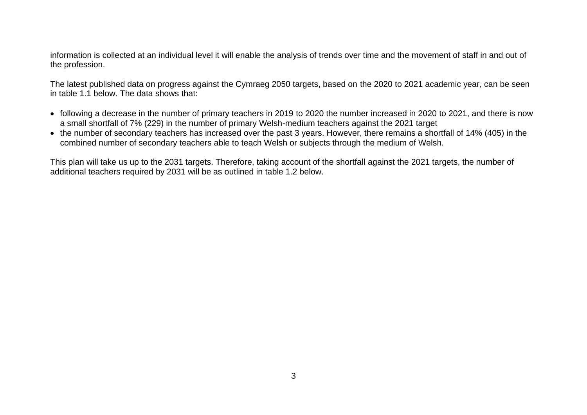information is collected at an individual level it will enable the analysis of trends over time and the movement of staff in and out of the profession.

The latest published data on progress against the Cymraeg 2050 targets, based on the 2020 to 2021 academic year, can be seen in table 1.1 below. The data shows that:

- following a decrease in the number of primary teachers in 2019 to 2020 the number increased in 2020 to 2021, and there is now a small shortfall of 7% (229) in the number of primary Welsh-medium teachers against the 2021 target
- the number of secondary teachers has increased over the past 3 years. However, there remains a shortfall of 14% (405) in the combined number of secondary teachers able to teach Welsh or subjects through the medium of Welsh.

This plan will take us up to the 2031 targets. Therefore, taking account of the shortfall against the 2021 targets, the number of additional teachers required by 2031 will be as outlined in table 1.2 below.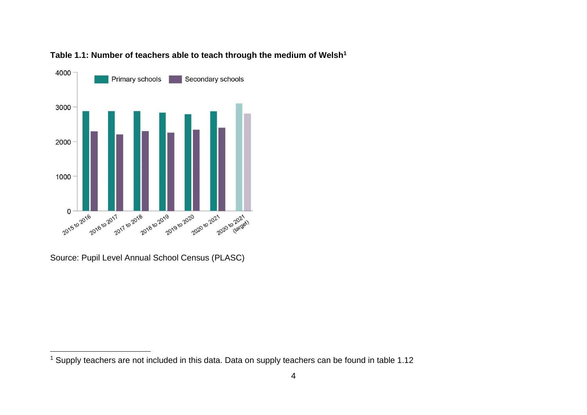



Source: Pupil Level Annual School Census (PLASC)

<sup>1</sup> Supply teachers are not included in this data. Data on supply teachers can be found in table 1.12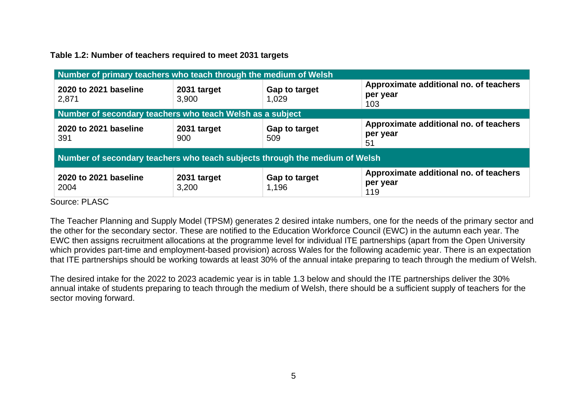## **Table 1.2: Number of teachers required to meet 2031 targets**

| Number of primary teachers who teach through the medium of Welsh            |                      |                        |                                                           |
|-----------------------------------------------------------------------------|----------------------|------------------------|-----------------------------------------------------------|
| 2020 to 2021 baseline<br>2,871                                              | 2031 target<br>3,900 | Gap to target<br>1,029 | Approximate additional no. of teachers<br>per year<br>103 |
| Number of secondary teachers who teach Welsh as a subject                   |                      |                        |                                                           |
| 2020 to 2021 baseline<br>391                                                | 2031 target<br>900   | Gap to target<br>509   | Approximate additional no. of teachers<br>per year<br>51  |
| Number of secondary teachers who teach subjects through the medium of Welsh |                      |                        |                                                           |
| 2020 to 2021 baseline<br>2004                                               | 2031 target<br>3,200 | Gap to target<br>1,196 | Approximate additional no. of teachers<br>per year<br>119 |

Source: PLASC

The Teacher Planning and Supply Model (TPSM) generates 2 desired intake numbers, one for the needs of the primary sector and the other for the secondary sector. These are notified to the Education Workforce Council (EWC) in the autumn each year. The EWC then assigns recruitment allocations at the programme level for individual ITE partnerships (apart from the Open University which provides part-time and employment-based provision) across Wales for the following academic year. There is an expectation that ITE partnerships should be working towards at least 30% of the annual intake preparing to teach through the medium of Welsh.

The desired intake for the 2022 to 2023 academic year is in table 1.3 below and should the ITE partnerships deliver the 30% annual intake of students preparing to teach through the medium of Welsh, there should be a sufficient supply of teachers for the sector moving forward.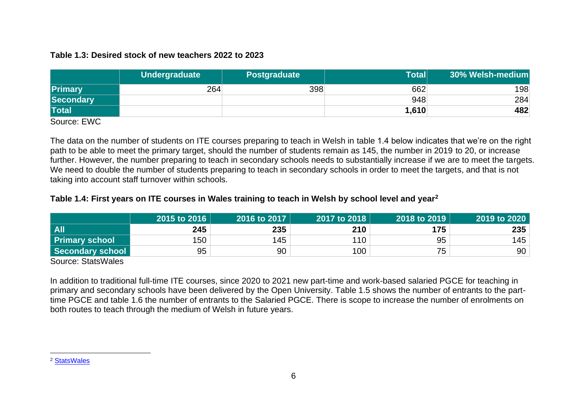### **Table 1.3: Desired stock of new teachers 2022 to 2023**

|                | Undergraduate | <b>Postgraduate</b> | Total | 30% Welsh-medium |
|----------------|---------------|---------------------|-------|------------------|
| <b>Primary</b> | 264           | 398                 | 662   | 198              |
| Secondary      |               |                     | 948   | 284              |
| <b>Total</b>   |               |                     | 1,610 | 482              |

Source: EWC

The data on the number of students on ITE courses preparing to teach in Welsh in table 1.4 below indicates that we're on the right path to be able to meet the primary target, should the number of students remain as 145, the number in 2019 to 20, or increase further. However, the number preparing to teach in secondary schools needs to substantially increase if we are to meet the targets. We need to double the number of students preparing to teach in secondary schools in order to meet the targets, and that is not taking into account staff turnover within schools.

# **Table 1.4: First years on ITE courses in Wales training to teach in Welsh by school level and year<sup>2</sup>**

|                       | 2015 to 2016 | 2016 to 2017 | 2017 to 2018 | 2018 to 2019 | 2019 to 2020 |
|-----------------------|--------------|--------------|--------------|--------------|--------------|
| <b>All</b>            | 245          | 235          | 210          | 175          | 235          |
| <b>Primary school</b> | 150          | 145          | 110          | 95           | 145          |
| Secondary school      | 95           | 90           | 100          | 75           | 90           |

Source: StatsWales

In addition to traditional full-time ITE courses, since 2020 to 2021 new part-time and work-based salaried PGCE for teaching in primary and secondary schools have been delivered by the Open University. Table 1.5 shows the number of entrants to the parttime PGCE and table 1.6 the number of entrants to the Salaried PGCE. There is scope to increase the number of enrolments on both routes to teach through the medium of Welsh in future years.

<sup>2</sup> [StatsWales](https://statswales.gov.wales/v/Kul1)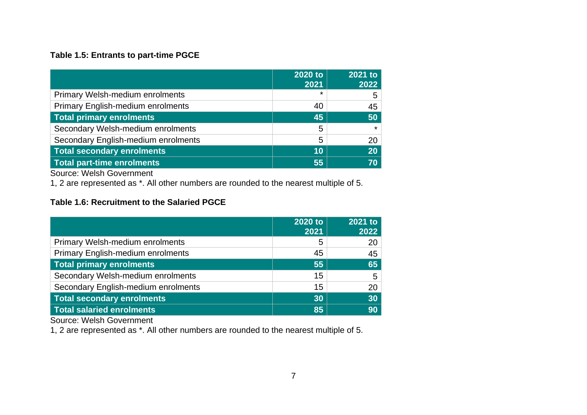# **Table 1.5: Entrants to part-time PGCE**

|                                          | 2020 to<br>2021 | 2021 to<br>2022 |
|------------------------------------------|-----------------|-----------------|
| <b>Primary Welsh-medium enrolments</b>   | $\star$         | 5               |
| <b>Primary English-medium enrolments</b> | 40              | 45              |
| <b>Total primary enrolments</b>          | 45              | 50              |
| Secondary Welsh-medium enrolments        | 5               | $\star$         |
| Secondary English-medium enrolments      | 5               | 20              |
| <b>Total secondary enrolments</b>        | 10              | 20              |
| <b>Total part-time enrolments</b>        | 55              | 70              |

Source: Welsh Government

1, 2 are represented as \*. All other numbers are rounded to the nearest multiple of 5.

# **Table 1.6: Recruitment to the Salaried PGCE**

|                                          | 2020 to<br>2021 | 2021 to<br>2022 |
|------------------------------------------|-----------------|-----------------|
| <b>Primary Welsh-medium enrolments</b>   | 5               | 20              |
| <b>Primary English-medium enrolments</b> | 45              | 45              |
| <b>Total primary enrolments</b>          | 55              | 65              |
| Secondary Welsh-medium enrolments        | 15              | 5               |
| Secondary English-medium enrolments      | 15              | 20              |
| <b>Total secondary enrolments</b>        | 30              | 30              |
| <b>Total salaried enrolments</b>         | 85              | 90              |

Source: Welsh Government

1, 2 are represented as \*. All other numbers are rounded to the nearest multiple of 5.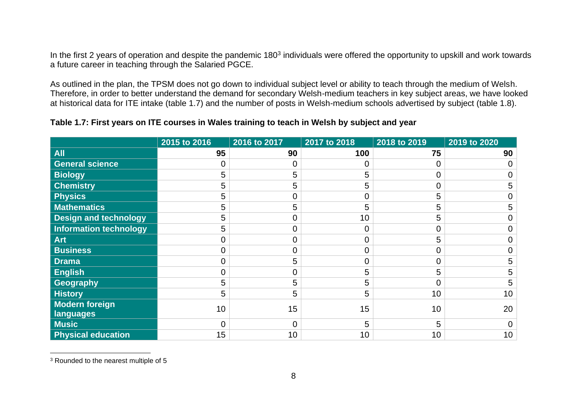In the first 2 years of operation and despite the pandemic 180<sup>3</sup> individuals were offered the opportunity to upskill and work towards a future career in teaching through the Salaried PGCE.

As outlined in the plan, the TPSM does not go down to individual subject level or ability to teach through the medium of Welsh. Therefore, in order to better understand the demand for secondary Welsh-medium teachers in key subject areas, we have looked at historical data for ITE intake (table 1.7) and the number of posts in Welsh-medium schools advertised by subject (table 1.8).

# **Table 1.7: First years on ITE courses in Wales training to teach in Welsh by subject and year**

|                                    | 2015 to 2016 | 2016 to 2017   | 2017 to 2018   | 2018 to 2019 | 2019 to 2020    |
|------------------------------------|--------------|----------------|----------------|--------------|-----------------|
| <b>All</b>                         | 95           | 90             | 100            | 75           | 90              |
| <b>General science</b>             | 0            | Ω              | 0              | 0            |                 |
| <b>Biology</b>                     | 5            | 5              | 5              | 0            |                 |
| <b>Chemistry</b>                   | 5            | 5              | 5              | 0            | 5               |
| <b>Physics</b>                     | 5            | 0              | 0              | 5            |                 |
| <b>Mathematics</b>                 | 5            | 5              | 5              | 5            | 5               |
| <b>Design and technology</b>       | 5            | 0              | 10             | 5            |                 |
| <b>Information technology</b>      | 5            | 0              | $\overline{0}$ | 0            |                 |
| <b>Art</b>                         | 0            | $\overline{0}$ | $\overline{0}$ | 5            |                 |
| <b>Business</b>                    | 0            | 0              | $\overline{0}$ | 0            |                 |
| <b>Drama</b>                       | 0            | 5              | $\mathbf 0$    | 0            | 5               |
| <b>English</b>                     | 0            | 0              | 5              | 5            | 5               |
| Geography                          | 5            | 5              | 5              | $\mathbf 0$  | 5               |
| <b>History</b>                     | 5            | 5              | 5              | 10           | 10              |
| <b>Modern foreign</b><br>languages | 10           | 15             | 15             | 10           | 20              |
| <b>Music</b>                       | $\Omega$     | 0              | 5              | 5            |                 |
| <b>Physical education</b>          | 15           | 10             | 10             | 10           | 10 <sub>1</sub> |

<sup>&</sup>lt;sup>3</sup> Rounded to the nearest multiple of 5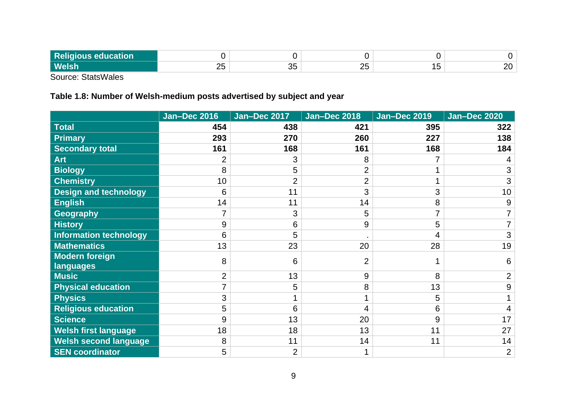| D <sub>o</sub><br>ıtion<br>-- |               |                      |         |        |   |
|-------------------------------|---------------|----------------------|---------|--------|---|
| <b>Welsh</b>                  | $\Omega$<br>∼ | <u>_</u><br>,,<br>◡◡ | ∩г<br>້ | -<br>ັ | - |

Source: StatsWales

# **Table 1.8: Number of Welsh-medium posts advertised by subject and year**

|                               | <b>Jan-Dec 2016</b> | <b>Jan-Dec 2017</b> | <b>Jan-Dec 2018</b> | <b>Jan-Dec 2019</b> | <b>Jan-Dec 2020</b> |
|-------------------------------|---------------------|---------------------|---------------------|---------------------|---------------------|
| <b>Total</b>                  | 454                 | 438                 | 421                 | 395                 | 322                 |
| <b>Primary</b>                | 293                 | 270                 | 260                 | 227                 | 138                 |
| <b>Secondary total</b>        | 161                 | 168                 | 161                 | 168                 | 184                 |
| <b>Art</b>                    | $\overline{2}$      | 3                   | 8                   |                     |                     |
| <b>Biology</b>                | 8                   | 5                   | $\overline{2}$      |                     | 3                   |
| <b>Chemistry</b>              | 10                  | $\overline{2}$      | $\overline{2}$      |                     | 3                   |
| <b>Design and technology</b>  | 6                   | 11                  | 3                   | 3                   | 10                  |
| <b>English</b>                | 14                  | 11                  | 14                  | 8                   | 9                   |
| Geography                     |                     | 3                   | 5                   | 7                   |                     |
| <b>History</b>                | 9                   | 6                   | 9                   | 5                   |                     |
| <b>Information technology</b> | 6                   | 5                   |                     | 4                   | 3                   |
| <b>Mathematics</b>            | 13                  | 23                  | 20                  | 28                  | 19                  |
| <b>Modern foreign</b>         | 8                   | 6                   | $\overline{2}$      |                     | 6                   |
| languages                     |                     |                     |                     |                     |                     |
| <b>Music</b>                  | $\overline{2}$      | 13                  | 9                   | 8                   | $\overline{2}$      |
| <b>Physical education</b>     |                     | 5                   | 8                   | 13                  | 9                   |
| <b>Physics</b>                | 3                   |                     | 4                   | 5                   |                     |
| <b>Religious education</b>    | 5                   | 6                   | 4                   | 6                   |                     |
| <b>Science</b>                | 9                   | 13                  | 20                  | 9                   | 17                  |
| <b>Welsh first language</b>   | 18                  | 18                  | 13                  | 11                  | 27                  |
| <b>Welsh second language</b>  | 8                   | 11                  | 14                  | 11                  | 14                  |
| <b>SEN coordinator</b>        | 5                   | $\overline{2}$      | 1                   |                     | $\overline{2}$      |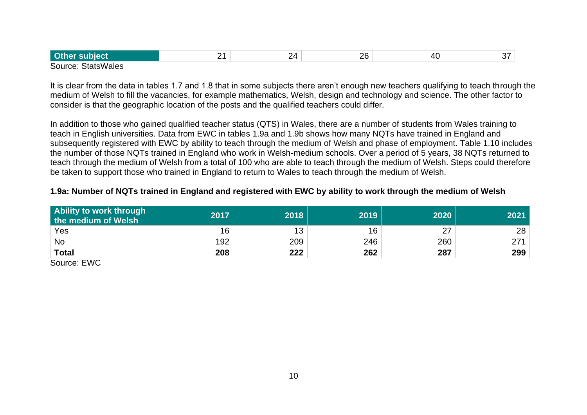| <b>Othen</b>       | . . | , ,<br>. .<br>_ | 26<br>$ \sim$ | $\sim$ |  |
|--------------------|-----|-----------------|---------------|--------|--|
| Course: CtataMalas |     |                 |               |        |  |

Source: StatsWales

It is clear from the data in tables 1.7 and 1.8 that in some subjects there aren't enough new teachers qualifying to teach through the medium of Welsh to fill the vacancies, for example mathematics, Welsh, design and technology and science. The other factor to consider is that the geographic location of the posts and the qualified teachers could differ.

In addition to those who gained qualified teacher status (QTS) in Wales, there are a number of students from Wales training to teach in English universities. Data from EWC in tables 1.9a and 1.9b shows how many NQTs have trained in England and subsequently registered with EWC by ability to teach through the medium of Welsh and phase of employment. Table 1.10 includes the number of those NQTs trained in England who work in Welsh-medium schools. Over a period of 5 years, 38 NQTs returned to teach through the medium of Welsh from a total of 100 who are able to teach through the medium of Welsh. Steps could therefore be taken to support those who trained in England to return to Wales to teach through the medium of Welsh.

# **1.9a: Number of NQTs trained in England and registered with EWC by ability to work through the medium of Welsh**

| Ability to work through<br>the medium of Welsh | 2017 | 2018 | 2019 | 2020             | 2021 |
|------------------------------------------------|------|------|------|------------------|------|
| Yes                                            | 16   | 12   | 16   | 07<br>$\angle$ / | 28   |
| <b>No</b>                                      | 192  | 209  | 246  | 260              | 271  |
| <b>Total</b>                                   | 208  | 222  | 262  | 287              | 299  |

Source: EWC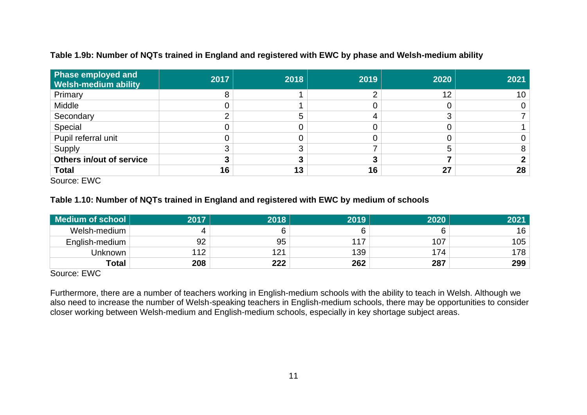| <b>Phase employed and</b><br><b>Welsh-medium ability</b> | 2017 | 2018 | 2019 | 2020   | 2021 |
|----------------------------------------------------------|------|------|------|--------|------|
| Primary                                                  |      |      |      | 12     | 10   |
| Middle                                                   |      |      |      | 0      |      |
| Secondary                                                |      |      |      | ⌒<br>C |      |
| Special                                                  |      |      |      | 0      |      |
| Pupil referral unit                                      |      |      |      | 0      |      |
| Supply                                                   |      |      |      | 5      |      |
| Others in/out of service                                 |      |      |      |        |      |
| <b>Total</b><br>$-112$<br>$\sim$                         | 16   | 13   | 16   | 27     | 28   |

### **Table 1.9b: Number of NQTs trained in England and registered with EWC by phase and Welsh-medium ability**

Source: EWC

### **Table 1.10: Number of NQTs trained in England and registered with EWC by medium of schools**

| Medium of school | 2017 | 2018 | 2019 | 2020 | 2021 |
|------------------|------|------|------|------|------|
| Welsh-medium     |      | 6    |      |      | 16   |
| English-medium   | 92   | 95   | 117  | 107  | 105  |
| Unknown          | 12   | 121  | 139  | 174  | 178  |
| <b>Total</b>     | 208  | 222  | 262  | 287  | 299  |

Source: EWC

Furthermore, there are a number of teachers working in English-medium schools with the ability to teach in Welsh. Although we also need to increase the number of Welsh-speaking teachers in English-medium schools, there may be opportunities to consider closer working between Welsh-medium and English-medium schools, especially in key shortage subject areas.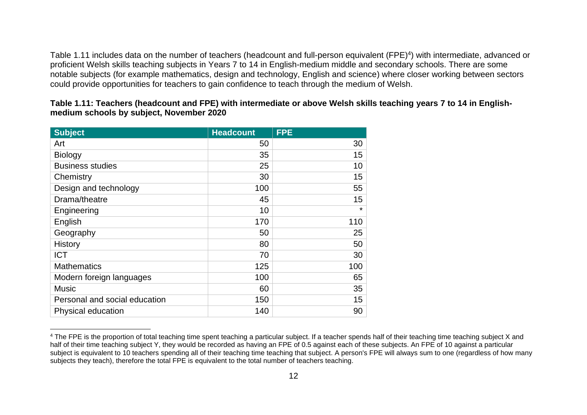Table 1.11 includes data on the number of teachers (headcount and full-person equivalent (FPE)<sup>4</sup>) with intermediate, advanced or proficient Welsh skills teaching subjects in Years 7 to 14 in English-medium middle and secondary schools. There are some notable subjects (for example mathematics, design and technology, English and science) where closer working between sectors could provide opportunities for teachers to gain confidence to teach through the medium of Welsh.

**Table 1.11: Teachers (headcount and FPE) with intermediate or above Welsh skills teaching years 7 to 14 in Englishmedium schools by subject, November 2020**

| <b>Subject</b>                | <b>Headcount</b> | <b>FPE</b> |
|-------------------------------|------------------|------------|
| Art                           | 50               | 30         |
| <b>Biology</b>                | 35               | 15         |
| <b>Business studies</b>       | 25               | 10         |
| Chemistry                     | 30               | 15         |
| Design and technology         | 100              | 55         |
| Drama/theatre                 | 45               | 15         |
| Engineering                   | 10               | $\star$    |
| English                       | 170              | 110        |
| Geography                     | 50               | 25         |
| <b>History</b>                | 80               | 50         |
| <b>ICT</b>                    | 70               | 30         |
| <b>Mathematics</b>            | 125              | 100        |
| Modern foreign languages      | 100              | 65         |
| <b>Music</b>                  | 60               | 35         |
| Personal and social education | 150              | 15         |
| Physical education            | 140              | 90         |

<sup>&</sup>lt;sup>4</sup> The FPE is the proportion of total teaching time spent teaching a particular subject. If a teacher spends half of their teaching time teaching subject X and half of their time teaching subject Y, they would be recorded as having an FPE of 0.5 against each of these subjects. An FPE of 10 against a particular subject is equivalent to 10 teachers spending all of their teaching time teaching that subject. A person's FPE will always sum to one (regardless of how many subjects they teach), therefore the total FPE is equivalent to the total number of teachers teaching.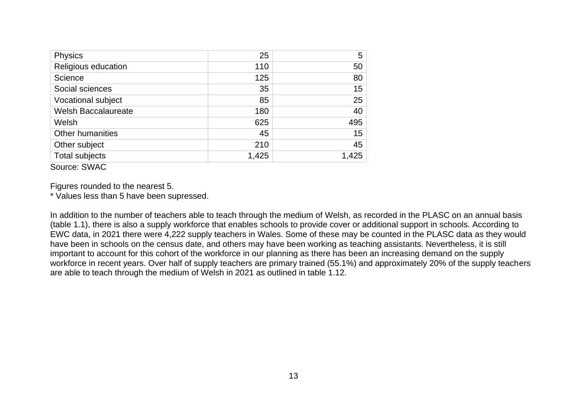| <b>Physics</b>             | 25    | 5     |
|----------------------------|-------|-------|
| Religious education        | 110   | 50    |
| Science                    | 125   | 80    |
| Social sciences            | 35    | 15    |
| Vocational subject         | 85    | 25    |
| <b>Welsh Baccalaureate</b> | 180   | 40    |
| Welsh                      | 625   | 495   |
| <b>Other humanities</b>    | 45    | 15    |
| Other subject              | 210   | 45    |
| <b>Total subjects</b>      | 1,425 | 1,425 |

Source: SWAC

Figures rounded to the nearest 5.

\* Values less than 5 have been supressed.

In addition to the number of teachers able to teach through the medium of Welsh, as recorded in the PLASC on an annual basis (table 1.1), there is also a supply workforce that enables schools to provide cover or additional support in schools. According to EWC data, in 2021 there were 4,222 supply teachers in Wales. Some of these may be counted in the PLASC data as they would have been in schools on the census date, and others may have been working as teaching assistants. Nevertheless, it is still important to account for this cohort of the workforce in our planning as there has been an increasing demand on the supply workforce in recent years. Over half of supply teachers are primary trained (55.1%) and approximately 20% of the supply teachers are able to teach through the medium of Welsh in 2021 as outlined in table 1.12.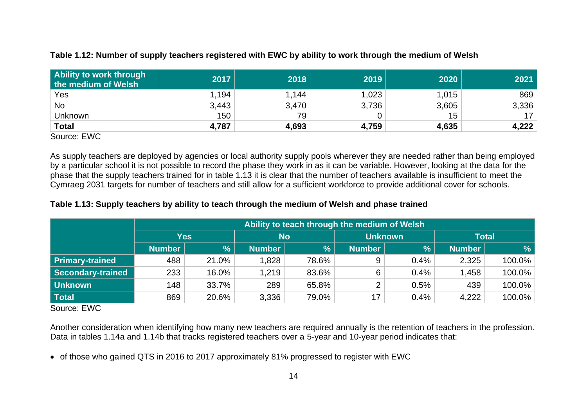# **Table 1.12: Number of supply teachers registered with EWC by ability to work through the medium of Welsh**

| Ability to work through<br>the medium of Welsh | 2017  | 2018  | 2019  | 2020  | 2021  |
|------------------------------------------------|-------|-------|-------|-------|-------|
| Yes                                            | 1,194 | 1,144 | 1,023 | 1,015 | 869   |
| <b>No</b>                                      | 3,443 | 3,470 | 3,736 | 3,605 | 3,336 |
| <b>Unknown</b>                                 | 150   | 79    |       | 15    | 17    |
| <b>Total</b>                                   | 4,787 | 4,693 | 4,759 | 4,635 | 4,222 |

Source: EWC

As supply teachers are deployed by agencies or local authority supply pools wherever they are needed rather than being employed by a particular school it is not possible to record the phase they work in as it can be variable. However, looking at the data for the phase that the supply teachers trained for in table 1.13 it is clear that the number of teachers available is insufficient to meet the Cymraeg 2031 targets for number of teachers and still allow for a sufficient workforce to provide additional cover for schools.

#### **Table 1.13: Supply teachers by ability to teach through the medium of Welsh and phase trained**

|                        | Ability to teach through the medium of Welsh |               |               |       |                |      |               |        |  |  |  |
|------------------------|----------------------------------------------|---------------|---------------|-------|----------------|------|---------------|--------|--|--|--|
|                        |                                              | Yes           | <b>No</b>     |       | <b>Unknown</b> |      | <b>Total</b>  |        |  |  |  |
|                        | <b>Number</b>                                | $\frac{9}{6}$ | <b>Number</b> | $\%$  | <b>Number</b>  | %    | <b>Number</b> | %      |  |  |  |
| <b>Primary-trained</b> | 488                                          | 21.0%         | 1,828         | 78.6% | 9              | 0.4% | 2,325         | 100.0% |  |  |  |
| Secondary-trained      | 233                                          | 16.0%         | 1,219         | 83.6% | 6              | 0.4% | 1,458         | 100.0% |  |  |  |
| Unknown                | 148                                          | 33.7%         | 289           | 65.8% | ◠              | 0.5% | 439           | 100.0% |  |  |  |
| Total                  | 869                                          | 20.6%         | 3,336         | 79.0% | 17             | 0.4% | 4,222         | 100.0% |  |  |  |

Source: EWC

Another consideration when identifying how many new teachers are required annually is the retention of teachers in the profession. Data in tables 1.14a and 1.14b that tracks registered teachers over a 5-year and 10-year period indicates that:

• of those who gained QTS in 2016 to 2017 approximately 81% progressed to register with EWC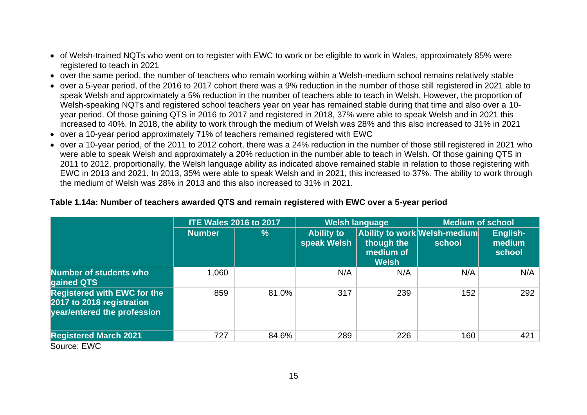- of Welsh-trained NQTs who went on to register with EWC to work or be eligible to work in Wales, approximately 85% were registered to teach in 2021
- over the same period, the number of teachers who remain working within a Welsh-medium school remains relatively stable
- over a 5-year period, of the 2016 to 2017 cohort there was a 9% reduction in the number of those still registered in 2021 able to speak Welsh and approximately a 5% reduction in the number of teachers able to teach in Welsh. However, the proportion of Welsh-speaking NQTs and registered school teachers year on year has remained stable during that time and also over a 10 year period. Of those gaining QTS in 2016 to 2017 and registered in 2018, 37% were able to speak Welsh and in 2021 this increased to 40%. In 2018, the ability to work through the medium of Welsh was 28% and this also increased to 31% in 2021
- over a 10-year period approximately 71% of teachers remained registered with EWC
- over a 10-year period, of the 2011 to 2012 cohort, there was a 24% reduction in the number of those still registered in 2021 who were able to speak Welsh and approximately a 20% reduction in the number able to teach in Welsh. Of those gaining QTS in 2011 to 2012, proportionally, the Welsh language ability as indicated above remained stable in relation to those registering with EWC in 2013 and 2021. In 2013, 35% were able to speak Welsh and in 2021, this increased to 37%. The ability to work through the medium of Welsh was 28% in 2013 and this also increased to 31% in 2021.

|                                                                                                | <b>ITE Wales 2016 to 2017</b> |       |                                  | <b>Welsh language</b>                   | <b>Medium of school</b>                |                              |  |
|------------------------------------------------------------------------------------------------|-------------------------------|-------|----------------------------------|-----------------------------------------|----------------------------------------|------------------------------|--|
|                                                                                                | <b>Number</b>                 | $\%$  | <b>Ability to</b><br>speak Welsh | though the<br>medium of<br><b>Welsh</b> | Ability to work Welsh-medium<br>school | English-<br>medium<br>school |  |
| <b>Number of students who</b><br>gained QTS                                                    | 1,060                         |       | N/A                              | N/A                                     | N/A                                    | N/A                          |  |
| <b>Registered with EWC for the</b><br>2017 to 2018 registration<br>year/entered the profession | 859                           | 81.0% | 317                              | 239                                     | 152                                    | 292                          |  |
| <b>Registered March 2021</b><br>$\mathbf{m}$<br>$\sim$ $\sim$                                  | 727                           | 84.6% | 289                              | 226                                     | 160                                    | 421                          |  |

#### **Table 1.14a: Number of teachers awarded QTS and remain registered with EWC over a 5-year period**

Source: EWC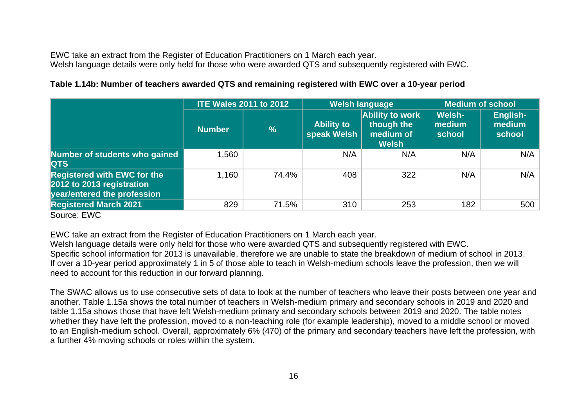EWC take an extract from the Register of Education Practitioners on 1 March each year. Welsh language details were only held for those who were awarded QTS and subsequently registered with EWC.

# **Table 1.14b: Number of teachers awarded QTS and remaining registered with EWC over a 10-year period**

|                                                                                                |               | <b>ITE Wales 2011 to 2012</b> |                                  | <b>Welsh language</b>                                      | <b>Medium of school</b>    |                              |  |
|------------------------------------------------------------------------------------------------|---------------|-------------------------------|----------------------------------|------------------------------------------------------------|----------------------------|------------------------------|--|
|                                                                                                | <b>Number</b> | $\frac{9}{6}$                 | <b>Ability to</b><br>speak Welsh | Ability to work<br>though the<br>medium of<br><b>Welsh</b> | Welsh-<br>medium<br>school | English-<br>medium<br>school |  |
| Number of students who gained<br><b>QTS</b>                                                    | 1,560         |                               | N/A                              | N/A                                                        | N/A                        | N/A                          |  |
| <b>Registered with EWC for the</b><br>2012 to 2013 registration<br>year/entered the profession | 1,160         | 74.4%                         | 408                              | 322                                                        | N/A                        | N/A                          |  |
| <b>Registered March 2021</b><br>-----                                                          | 829           | 71.5%                         | 310                              | 253                                                        | 182                        | 500                          |  |

Source: EWC

EWC take an extract from the Register of Education Practitioners on 1 March each year.

Welsh language details were only held for those who were awarded QTS and subsequently registered with EWC. Specific school information for 2013 is unavailable, therefore we are unable to state the breakdown of medium of school in 2013. If over a 10-year period approximately 1 in 5 of those able to teach in Welsh-medium schools leave the profession, then we will need to account for this reduction in our forward planning.

The SWAC allows us to use consecutive sets of data to look at the number of teachers who leave their posts between one year and another. Table 1.15a shows the total number of teachers in Welsh-medium primary and secondary schools in 2019 and 2020 and table 1.15a shows those that have left Welsh-medium primary and secondary schools between 2019 and 2020. The table notes whether they have left the profession, moved to a non-teaching role (for example leadership), moved to a middle school or moved to an English-medium school. Overall, approximately 6% (470) of the primary and secondary teachers have left the profession, with a further 4% moving schools or roles within the system.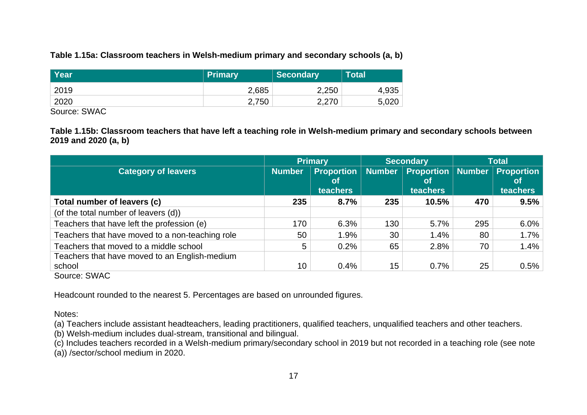### **Table 1.15a: Classroom teachers in Welsh-medium primary and secondary schools (a, b)**

| <b>Year</b> | <b>Primary</b> | Secondary | Total |
|-------------|----------------|-----------|-------|
| 2019        | 2,685          | 2,250     | 4,935 |
| 2020        | 2,750          | 2,270     | 5,020 |

Source: SWAC

**Table 1.15b: Classroom teachers that have left a teaching role in Welsh-medium primary and secondary schools between 2019 and 2020 (a, b)**

|                                                                                               |               | Primary                                    | <b>Secondary</b> |                                                   | <b>Total</b> |                                                   |
|-----------------------------------------------------------------------------------------------|---------------|--------------------------------------------|------------------|---------------------------------------------------|--------------|---------------------------------------------------|
| <b>Category of leavers</b>                                                                    | <b>Number</b> | <b>Proportion</b><br><b>of</b><br>teachers | <b>Number</b>    | <b>Proportion Number</b><br><b>ot</b><br>teachers |              | <b>Proportion</b><br><b>ot</b><br><b>teachers</b> |
| Total number of leavers (c)                                                                   | 235           | 8.7%                                       | 235              | 10.5%                                             | 470          | 9.5%                                              |
| (of the total number of leavers (d))                                                          |               |                                            |                  |                                                   |              |                                                   |
| Teachers that have left the profession (e)                                                    | 170           | 6.3%                                       | 130              | 5.7%                                              | 295          | $6.0\%$                                           |
| Teachers that have moved to a non-teaching role                                               | 50            | 1.9%                                       | 30               | 1.4%                                              | 80           | 1.7%                                              |
| Teachers that moved to a middle school                                                        | 5             | 0.2%                                       | 65               | 2.8%                                              | 70           | 1.4%                                              |
| Teachers that have moved to an English-medium<br>school<br>$\sim$ $\sim$ $\sim$ $\sim$ $\sim$ | 10            | 0.4%                                       | 15               | 0.7%                                              | 25           | 0.5%                                              |

Source: SWAC

Headcount rounded to the nearest 5. Percentages are based on unrounded figures.

Notes:

(a) Teachers include assistant headteachers, leading practitioners, qualified teachers, unqualified teachers and other teachers.

(b) Welsh-medium includes dual-stream, transitional and bilingual.

(c) Includes teachers recorded in a Welsh-medium primary/secondary school in 2019 but not recorded in a teaching role (see note

(a)) /sector/school medium in 2020.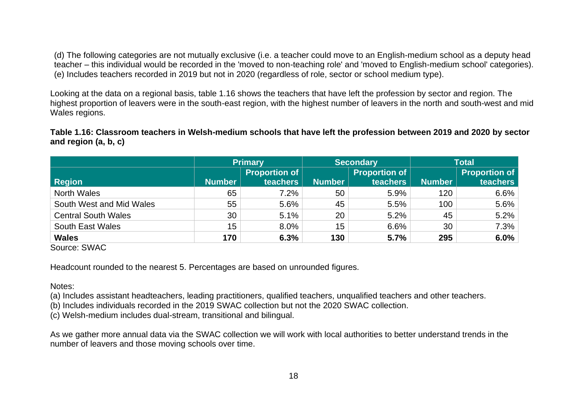(d) The following categories are not mutually exclusive (i.e. a teacher could move to an English-medium school as a deputy head teacher – this individual would be recorded in the 'moved to non-teaching role' and 'moved to English-medium school' categories). (e) Includes teachers recorded in 2019 but not in 2020 (regardless of role, sector or school medium type).

Looking at the data on a regional basis, table 1.16 shows the teachers that have left the profession by sector and region. The highest proportion of leavers were in the south-east region, with the highest number of leavers in the north and south-west and mid Wales regions.

**Table 1.16: Classroom teachers in Welsh-medium schools that have left the profession between 2019 and 2020 by sector and region (a, b, c)**

|                            | <b>Primary</b> |                      |               | <b>Secondary</b>     | <b>Total</b>  |                      |  |
|----------------------------|----------------|----------------------|---------------|----------------------|---------------|----------------------|--|
|                            |                | <b>Proportion of</b> |               | <b>Proportion of</b> |               | <b>Proportion of</b> |  |
| <b>Region</b>              | <b>Number</b>  | <b>teachers</b>      | <b>Number</b> | teachers             | <b>Number</b> | teachers             |  |
| <b>North Wales</b>         | 65             | 7.2%                 | 50            | 5.9%                 | 120           | 6.6%                 |  |
| South West and Mid Wales   | 55             | 5.6%                 | 45            | 5.5%                 | 100           | 5.6%                 |  |
| <b>Central South Wales</b> | 30             | 5.1%                 | 20            | 5.2%                 | 45            | 5.2%                 |  |
| <b>South East Wales</b>    | 15             | 8.0%                 | 15            | 6.6%                 | 30            | 7.3%                 |  |
| <b>Wales</b>               | 170            | 6.3%                 | 130           | 5.7%                 | 295           | 6.0%                 |  |

Source: SWAC

Headcount rounded to the nearest 5. Percentages are based on unrounded figures.

Notes:

(a) Includes assistant headteachers, leading practitioners, qualified teachers, unqualified teachers and other teachers.

(b) Includes individuals recorded in the 2019 SWAC collection but not the 2020 SWAC collection.

(c) Welsh-medium includes dual-stream, transitional and bilingual.

As we gather more annual data via the SWAC collection we will work with local authorities to better understand trends in the number of leavers and those moving schools over time.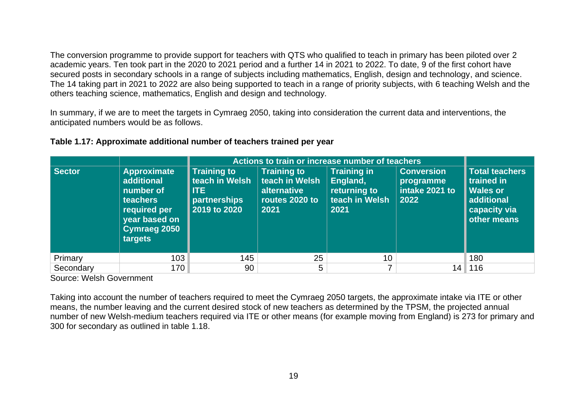The conversion programme to provide support for teachers with QTS who qualified to teach in primary has been piloted over 2 academic years. Ten took part in the 2020 to 2021 period and a further 14 in 2021 to 2022. To date, 9 of the first cohort have secured posts in secondary schools in a range of subjects including mathematics, English, design and technology, and science. The 14 taking part in 2021 to 2022 are also being supported to teach in a range of priority subjects, with 6 teaching Welsh and the others teaching science, mathematics, English and design and technology.

In summary, if we are to meet the targets in Cymraeg 2050, taking into consideration the current data and interventions, the anticipated numbers would be as follows.

|               |                                                                                                                       | Actions to train or increase number of teachers                                |                                                                               |                                                                          |                                                          |                                                                                                     |
|---------------|-----------------------------------------------------------------------------------------------------------------------|--------------------------------------------------------------------------------|-------------------------------------------------------------------------------|--------------------------------------------------------------------------|----------------------------------------------------------|-----------------------------------------------------------------------------------------------------|
| <b>Sector</b> | Approximate<br>additional<br>number of<br><b>teachers</b><br>required per<br>year based on<br>Cymraeg 2050<br>targets | <b>Training to</b><br>teach in Welsh<br>l ITE.<br>partnerships<br>2019 to 2020 | <b>Training to</b><br>teach in Welsh<br>alternative<br>routes 2020 to<br>2021 | <b>Training in</b><br>England,<br>returning to<br>teach in Welsh<br>2021 | <b>Conversion</b><br>programme<br>intake 2021 to<br>2022 | <b>Total teachers</b><br>trained in<br><b>Wales or</b><br>additional<br>capacity via<br>other means |
| Primary       | 103                                                                                                                   | 145                                                                            | 25                                                                            | 10 <sup>°</sup>                                                          |                                                          | 180                                                                                                 |
| Secondary     | 170                                                                                                                   | 90                                                                             | 5                                                                             | ⇁                                                                        | 14                                                       | 116                                                                                                 |

#### **Table 1.17: Approximate additional number of teachers trained per year**

Source: Welsh Government

Taking into account the number of teachers required to meet the Cymraeg 2050 targets, the approximate intake via ITE or other means, the number leaving and the current desired stock of new teachers as determined by the TPSM, the projected annual number of new Welsh-medium teachers required via ITE or other means (for example moving from England) is 273 for primary and 300 for secondary as outlined in table 1.18.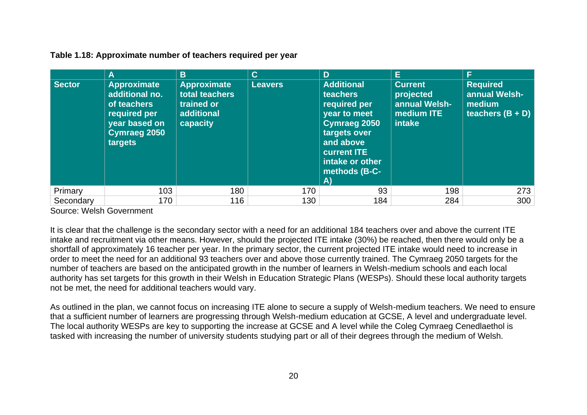**Table 1.18: Approximate number of teachers required per year**

|           | A                                                                                                                      | B                                                                            | $\mathbf{C}$   | D                                                                                                                                                                          | E.                                                                   | F                                                                |
|-----------|------------------------------------------------------------------------------------------------------------------------|------------------------------------------------------------------------------|----------------|----------------------------------------------------------------------------------------------------------------------------------------------------------------------------|----------------------------------------------------------------------|------------------------------------------------------------------|
| Sector    | <b>Approximate</b><br>additional no.<br>of teachers<br>required per<br>year based on<br><b>Cymraeg 2050</b><br>targets | <b>Approximate</b><br>total teachers<br>trained or<br>additional<br>capacity | <b>Leavers</b> | <b>Additional</b><br>teachers<br>required per<br>year to meet<br>Cymraeg 2050<br>targets over<br>and above<br><b>current ITE</b><br>intake or other<br>methods (B-C-<br>A) | <b>Current</b><br>projected<br>annual Welsh-<br>medium ITE<br>intake | <b>Required</b><br>annual Welsh-<br>medium<br>teachers $(B + D)$ |
| Primary   | 103                                                                                                                    | 180                                                                          | 170            | 93                                                                                                                                                                         | 198                                                                  | 273                                                              |
| Secondary | 170                                                                                                                    | 116                                                                          | 130            | 184                                                                                                                                                                        | 284                                                                  | 300                                                              |

Source: Welsh Government

It is clear that the challenge is the secondary sector with a need for an additional 184 teachers over and above the current ITE intake and recruitment via other means. However, should the projected ITE intake (30%) be reached, then there would only be a shortfall of approximately 16 teacher per year. In the primary sector, the current projected ITE intake would need to increase in order to meet the need for an additional 93 teachers over and above those currently trained. The Cymraeg 2050 targets for the number of teachers are based on the anticipated growth in the number of learners in Welsh-medium schools and each local authority has set targets for this growth in their Welsh in Education Strategic Plans (WESPs). Should these local authority targets not be met, the need for additional teachers would vary.

As outlined in the plan, we cannot focus on increasing ITE alone to secure a supply of Welsh-medium teachers. We need to ensure that a sufficient number of learners are progressing through Welsh-medium education at GCSE, A level and undergraduate level. The local authority WESPs are key to supporting the increase at GCSE and A level while the Coleg Cymraeg Cenedlaethol is tasked with increasing the number of university students studying part or all of their degrees through the medium of Welsh.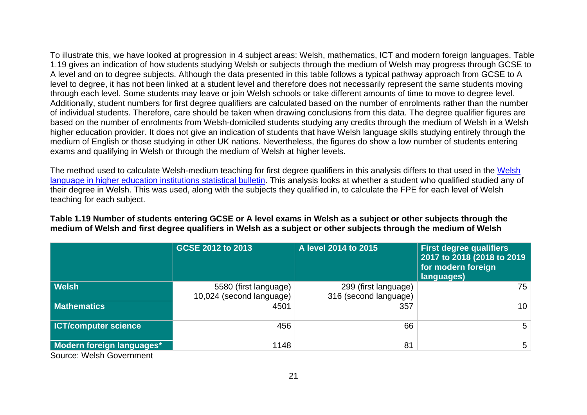To illustrate this, we have looked at progression in 4 subject areas: Welsh, mathematics, ICT and modern foreign languages. Table 1.19 gives an indication of how students studying Welsh or subjects through the medium of Welsh may progress through GCSE to A level and on to degree subjects. Although the data presented in this table follows a typical pathway approach from GCSE to A level to degree, it has not been linked at a student level and therefore does not necessarily represent the same students moving through each level. Some students may leave or join Welsh schools or take different amounts of time to move to degree level. Additionally, student numbers for first degree qualifiers are calculated based on the number of enrolments rather than the number of individual students. Therefore, care should be taken when drawing conclusions from this data. The degree qualifier figures are based on the number of enrolments from Welsh-domiciled students studying any credits through the medium of Welsh in a Welsh higher education provider. It does not give an indication of students that have Welsh language skills studying entirely through the medium of English or those studying in other UK nations. Nevertheless, the figures do show a low number of students entering exams and qualifying in Welsh or through the medium of Welsh at higher levels.

The method used to calculate Welsh-medium teaching for first degree qualifiers in this analysis differs to that used in the Welsh [language in higher education institutions](https://gov.wales/welsh-language-higher-education-institutions) statistical bulletin. This analysis looks at whether a student who qualified studied any of their degree in Welsh. This was used, along with the subjects they qualified in, to calculate the FPE for each level of Welsh teaching for each subject.

|                                                                 | GCSE 2012 to 2013                                 | A level 2014 to 2015                          | <b>First degree qualifiers</b><br>2017 to 2018 (2018 to 2019)<br>for modern foreign<br>languages) |
|-----------------------------------------------------------------|---------------------------------------------------|-----------------------------------------------|---------------------------------------------------------------------------------------------------|
| <b>Welsh</b>                                                    | 5580 (first language)<br>10,024 (second language) | 299 (first language)<br>316 (second language) | 75                                                                                                |
| <b>Mathematics</b>                                              | 4501                                              | 357                                           | 10 <sup>1</sup>                                                                                   |
| <b>ICT/computer science</b>                                     | 456                                               | 66                                            | $5^{\circ}$                                                                                       |
| Modern foreign languages*<br>$\sim$ $\sim$ $\sim$ $\sim$ $\sim$ | 1148                                              | 81                                            | $5^{\circ}$                                                                                       |

**Table 1.19 Number of students entering GCSE or A level exams in Welsh as a subject or other subjects through the medium of Welsh and first degree qualifiers in Welsh as a subject or other subjects through the medium of Welsh**

Source: Welsh Government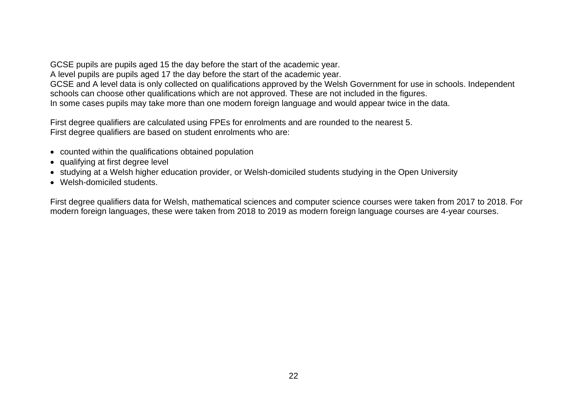GCSE pupils are pupils aged 15 the day before the start of the academic year. A level pupils are pupils aged 17 the day before the start of the academic year. GCSE and A level data is only collected on qualifications approved by the Welsh Government for use in schools. Independent schools can choose other qualifications which are not approved. These are not included in the figures. In some cases pupils may take more than one modern foreign language and would appear twice in the data.

First degree qualifiers are calculated using FPEs for enrolments and are rounded to the nearest 5. First degree qualifiers are based on student enrolments who are:

- counted within the qualifications obtained population
- qualifying at first degree level
- studying at a Welsh higher education provider, or Welsh-domiciled students studying in the Open University
- Welsh-domiciled students.

First degree qualifiers data for Welsh, mathematical sciences and computer science courses were taken from 2017 to 2018. For modern foreign languages, these were taken from 2018 to 2019 as modern foreign language courses are 4-year courses.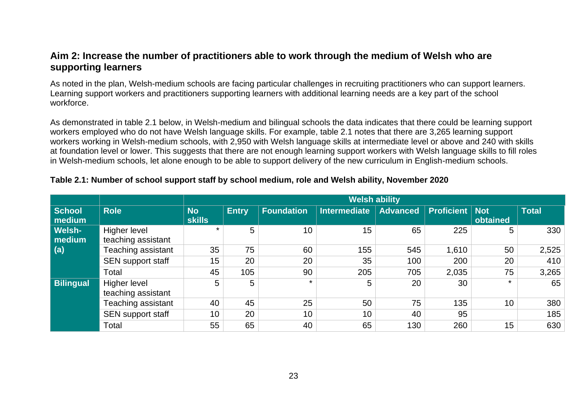# <span id="page-24-0"></span>**Aim 2: Increase the number of practitioners able to work through the medium of Welsh who are supporting learners**

As noted in the plan, Welsh-medium schools are facing particular challenges in recruiting practitioners who can support learners. Learning support workers and practitioners supporting learners with additional learning needs are a key part of the school workforce.

As demonstrated in table 2.1 below, in Welsh-medium and bilingual schools the data indicates that there could be learning support workers employed who do not have Welsh language skills. For example, table 2.1 notes that there are 3,265 learning support workers working in Welsh-medium schools, with 2,950 with Welsh language skills at intermediate level or above and 240 with skills at foundation level or lower. This suggests that there are not enough learning support workers with Welsh language skills to fill roles in Welsh-medium schools, let alone enough to be able to support delivery of the new curriculum in English-medium schools.

### **Table 2.1: Number of school support staff by school medium, role and Welsh ability, November 2020**

|                  |                          |               |              |                   | <b>Welsh ability</b> |                 |                         |          |              |
|------------------|--------------------------|---------------|--------------|-------------------|----------------------|-----------------|-------------------------|----------|--------------|
| <b>School</b>    | <b>Role</b>              | <b>No</b>     | <b>Entry</b> | <b>Foundation</b> | <b>Intermediate</b>  | <b>Advanced</b> | <b>Proficient   Not</b> |          | <b>Total</b> |
| medium           |                          | <b>skills</b> |              |                   |                      |                 |                         | obtained |              |
| <b>Welsh-</b>    | Higher level             | $\star$       | 5            | 10                | 15                   | 65              | 225                     | 5        | 330          |
| medium           | teaching assistant       |               |              |                   |                      |                 |                         |          |              |
| (a)              | Teaching assistant       | 35            | 75           | 60                | 155                  | 545             | 1,610                   | 50       | 2,525        |
|                  | SEN support staff        | 15            | 20           | 20                | 35                   | 100             | 200                     | 20       | 410          |
|                  | Total                    | 45            | 105          | 90                | 205                  | 705             | 2,035                   | 75       | 3,265        |
| <b>Bilingual</b> | Higher level             | 5             | 5            |                   | 5                    | 20              | 30                      | $\star$  | 65           |
|                  | teaching assistant       |               |              |                   |                      |                 |                         |          |              |
|                  | Teaching assistant       | 40            | 45           | 25                | 50                   | 75              | 135                     | 10       | 380          |
|                  | <b>SEN support staff</b> | 10            | 20           | 10                | 10                   | 40              | 95                      |          | 185          |
|                  | Total                    | 55            | 65           | 40                | 65                   | 130             | 260                     | 15       | 630          |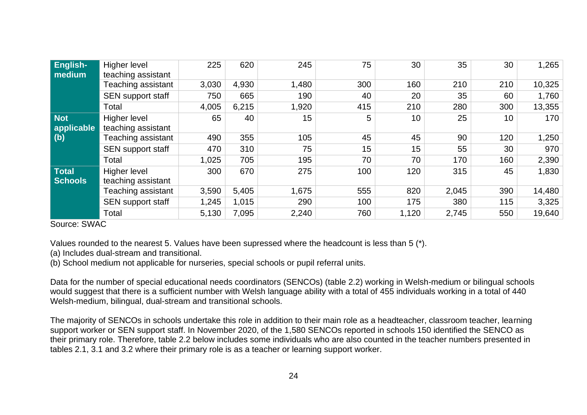| English-<br>medium             | Higher level<br>teaching assistant | 225   | 620   | 245   | 75  | 30    | 35    | 30  | 1,265  |
|--------------------------------|------------------------------------|-------|-------|-------|-----|-------|-------|-----|--------|
|                                | Teaching assistant                 | 3,030 | 4,930 | 1,480 | 300 | 160   | 210   | 210 | 10,325 |
|                                | <b>SEN support staff</b>           | 750   | 665   | 190   | 40  | 20    | 35    | 60  | 1,760  |
|                                | Total                              | 4,005 | 6,215 | 1,920 | 415 | 210   | 280   | 300 | 13,355 |
| Not<br>applicable              | Higher level<br>teaching assistant | 65    | 40    | 15    | 5   | 10    | 25    | 10  | 170    |
| (b)                            | Teaching assistant                 | 490   | 355   | 105   | 45  | 45    | 90    | 120 | 1,250  |
|                                | SEN support staff                  | 470   | 310   | 75    | 15  | 15    | 55    | 30  | 970    |
|                                | Total                              | 1,025 | 705   | 195   | 70  | 70    | 170   | 160 | 2,390  |
| <b>Total</b><br><b>Schools</b> | Higher level<br>teaching assistant | 300   | 670   | 275   | 100 | 120   | 315   | 45  | 1,830  |
|                                | Teaching assistant                 | 3,590 | 5,405 | 1,675 | 555 | 820   | 2,045 | 390 | 14,480 |
|                                | <b>SEN support staff</b>           | 1,245 | 1,015 | 290   | 100 | 175   | 380   | 115 | 3,325  |
|                                | Total                              | 5,130 | 7,095 | 2,240 | 760 | 1,120 | 2,745 | 550 | 19,640 |

Source: SWAC

Values rounded to the nearest 5. Values have been supressed where the headcount is less than 5 (\*).

(a) Includes dual-stream and transitional.

(b) School medium not applicable for nurseries, special schools or pupil referral units.

Data for the number of special educational needs coordinators (SENCOs) (table 2.2) working in Welsh-medium or bilingual schools would suggest that there is a sufficient number with Welsh language ability with a total of 455 individuals working in a total of 440 Welsh-medium, bilingual, dual-stream and transitional schools.

The majority of SENCOs in schools undertake this role in addition to their main role as a headteacher, classroom teacher, learning support worker or SEN support staff. In November 2020, of the 1,580 SENCOs reported in schools 150 identified the SENCO as their primary role. Therefore, table 2.2 below includes some individuals who are also counted in the teacher numbers presented in tables 2.1, 3.1 and 3.2 where their primary role is as a teacher or learning support worker.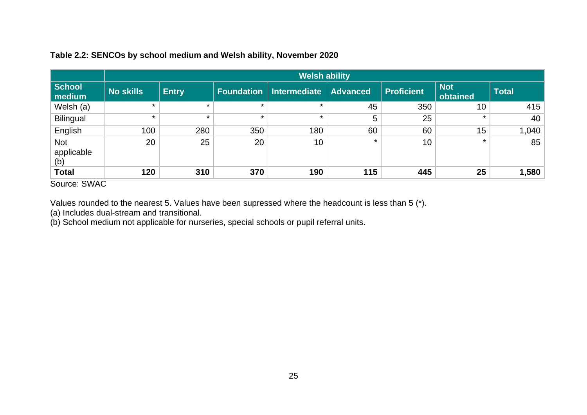# **Table 2.2: SENCOs by school medium and Welsh ability, November 2020**

|                                 |                  |              |         | <b>Welsh ability</b>             |                 |                   |                        |              |
|---------------------------------|------------------|--------------|---------|----------------------------------|-----------------|-------------------|------------------------|--------------|
| School<br>medium                | <b>No skills</b> | <b>Entry</b> |         | <b>Foundation   Intermediate</b> | <b>Advanced</b> | <b>Proficient</b> | <b>Not</b><br>obtained | <b>Total</b> |
| Welsh (a)                       | $\star$          | $\star$      | $\star$ | $\star$                          | 45              | 350               | 10                     | 415          |
| <b>Bilingual</b>                | $\star$          | $\star$      | $\star$ | $\star$                          | 5               | 25                | $\star$                | 40           |
| English                         | 100              | 280          | 350     | 180                              | 60              | 60                | 15                     | 1,040        |
| <b>Not</b><br>applicable<br>(b) | 20               | 25           | 20      | 10                               | $\star$         | 10                | $\star$                | 85           |
| <b>Total</b>                    | 120              | 310          | 370     | 190                              | 115             | 445               | 25                     | 1,580        |

Source: SWAC

Values rounded to the nearest 5. Values have been supressed where the headcount is less than 5 (\*).

(a) Includes dual-stream and transitional.

(b) School medium not applicable for nurseries, special schools or pupil referral units.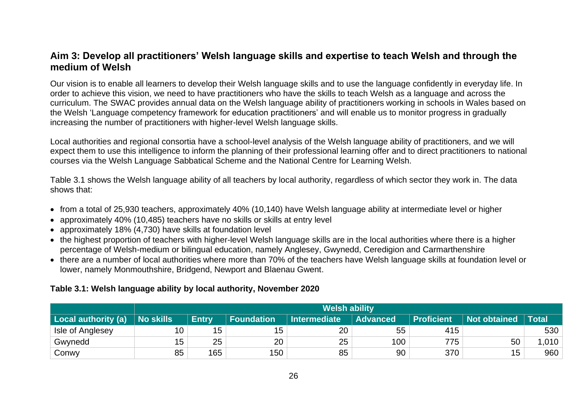# <span id="page-27-0"></span>**Aim 3: Develop all practitioners' Welsh language skills and expertise to teach Welsh and through the medium of Welsh**

Our vision is to enable all learners to develop their Welsh language skills and to use the language confidently in everyday life. In order to achieve this vision, we need to have practitioners who have the skills to teach Welsh as a language and across the curriculum. The SWAC provides annual data on the Welsh language ability of practitioners working in schools in Wales based on the Welsh 'Language competency framework for education practitioners' and will enable us to monitor progress in gradually increasing the number of practitioners with higher-level Welsh language skills.

Local authorities and regional consortia have a school-level analysis of the Welsh language ability of practitioners, and we will expect them to use this intelligence to inform the planning of their professional learning offer and to direct practitioners to national courses via the Welsh Language Sabbatical Scheme and the National Centre for Learning Welsh.

Table 3.1 shows the Welsh language ability of all teachers by local authority, regardless of which sector they work in. The data shows that:

- from a total of 25,930 teachers, approximately 40% (10,140) have Welsh language ability at intermediate level or higher
- approximately 40% (10,485) teachers have no skills or skills at entry level
- approximately 18% (4,730) have skills at foundation level
- the highest proportion of teachers with higher-level Welsh language skills are in the local authorities where there is a higher percentage of Welsh-medium or bilingual education, namely Anglesey, Gwynedd, Ceredigion and Carmarthenshire
- there are a number of local authorities where more than 70% of the teachers have Welsh language skills at foundation level or lower, namely Monmouthshire, Bridgend, Newport and Blaenau Gwent.

### **Table 3.1: Welsh language ability by local authority, November 2020**

|                     |                  | <b>Welsh ability</b> |                   |                     |                 |                   |                     |              |  |  |  |  |
|---------------------|------------------|----------------------|-------------------|---------------------|-----------------|-------------------|---------------------|--------------|--|--|--|--|
| Local authority (a) | <b>No skills</b> | <b>Entry</b>         | <b>Foundation</b> | <b>Intermediate</b> | <b>Advanced</b> | <b>Proficient</b> | <b>Not obtained</b> | <b>Total</b> |  |  |  |  |
| Isle of Anglesey    | 10               | 15                   | 15                | 20                  | 55              | 415               |                     | 530          |  |  |  |  |
| Gwynedd             | 15               | 25                   | 20                | 25                  | 100             | 775               | 50                  | .010         |  |  |  |  |
| Conwy               | 85               | 165                  | 150               | 85                  | 90              | 370               | 15                  | 960          |  |  |  |  |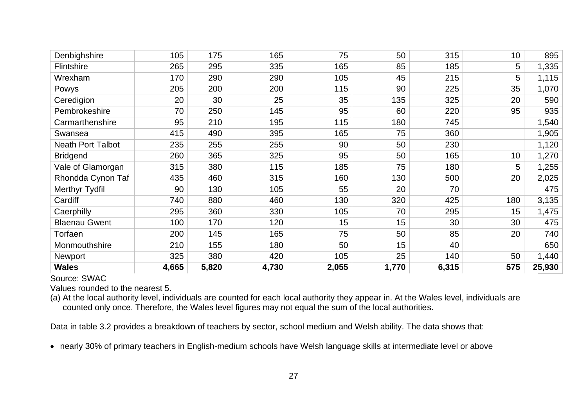| Denbighshire             | 105   | 175   | 165   | 75    | 50    | 315   | 10  | 895    |
|--------------------------|-------|-------|-------|-------|-------|-------|-----|--------|
| <b>Flintshire</b>        | 265   | 295   | 335   | 165   | 85    | 185   | 5   | 1,335  |
| Wrexham                  | 170   | 290   | 290   | 105   | 45    | 215   | 5   | 1,115  |
| Powys                    | 205   | 200   | 200   | 115   | 90    | 225   | 35  | 1,070  |
| Ceredigion               | 20    | 30    | 25    | 35    | 135   | 325   | 20  | 590    |
| Pembrokeshire            | 70    | 250   | 145   | 95    | 60    | 220   | 95  | 935    |
| Carmarthenshire          | 95    | 210   | 195   | 115   | 180   | 745   |     | 1,540  |
| Swansea                  | 415   | 490   | 395   | 165   | 75    | 360   |     | 1,905  |
| <b>Neath Port Talbot</b> | 235   | 255   | 255   | 90    | 50    | 230   |     | 1,120  |
| <b>Bridgend</b>          | 260   | 365   | 325   | 95    | 50    | 165   | 10  | 1,270  |
| Vale of Glamorgan        | 315   | 380   | 115   | 185   | 75    | 180   | 5   | 1,255  |
| Rhondda Cynon Taf        | 435   | 460   | 315   | 160   | 130   | 500   | 20  | 2,025  |
| <b>Merthyr Tydfil</b>    | 90    | 130   | 105   | 55    | 20    | 70    |     | 475    |
| Cardiff                  | 740   | 880   | 460   | 130   | 320   | 425   | 180 | 3,135  |
| Caerphilly               | 295   | 360   | 330   | 105   | 70    | 295   | 15  | 1,475  |
| <b>Blaenau Gwent</b>     | 100   | 170   | 120   | 15    | 15    | 30    | 30  | 475    |
| Torfaen                  | 200   | 145   | 165   | 75    | 50    | 85    | 20  | 740    |
| Monmouthshire            | 210   | 155   | 180   | 50    | 15    | 40    |     | 650    |
| <b>Newport</b>           | 325   | 380   | 420   | 105   | 25    | 140   | 50  | 1,440  |
| <b>Wales</b>             | 4,665 | 5,820 | 4,730 | 2,055 | 1,770 | 6,315 | 575 | 25,930 |

Source: SWAC

Values rounded to the nearest 5.

(a) At the local authority level, individuals are counted for each local authority they appear in. At the Wales level, individuals are counted only once. Therefore, the Wales level figures may not equal the sum of the local authorities.

Data in table 3.2 provides a breakdown of teachers by sector, school medium and Welsh ability. The data shows that:

• nearly 30% of primary teachers in English-medium schools have Welsh language skills at intermediate level or above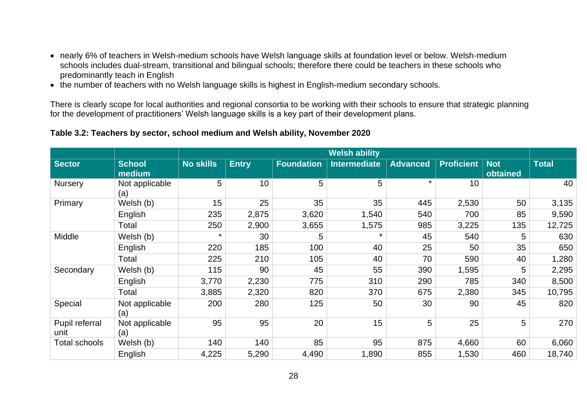- nearly 6% of teachers in Welsh-medium schools have Welsh language skills at foundation level or below. Welsh-medium schools includes dual-stream, transitional and bilingual schools; therefore there could be teachers in these schools who predominantly teach in English
- the number of teachers with no Welsh language skills is highest in English-medium secondary schools.

There is clearly scope for local authorities and regional consortia to be working with their schools to ensure that strategic planning for the development of practitioners' Welsh language skills is a key part of their development plans.

### **Table 3.2: Teachers by sector, school medium and Welsh ability, November 2020**

|                        |                         |                  |              |                   | <b>Welsh ability</b> |                 |                   |                        |        |
|------------------------|-------------------------|------------------|--------------|-------------------|----------------------|-----------------|-------------------|------------------------|--------|
| <b>Sector</b>          | <b>School</b><br>medium | <b>No skills</b> | <b>Entry</b> | <b>Foundation</b> | <b>Intermediate</b>  | <b>Advanced</b> | <b>Proficient</b> | <b>Not</b><br>obtained | Total  |
| <b>Nursery</b>         | Not applicable<br>(a)   | 5                | 10           | 5                 | 5                    | $\star$         | 10                |                        | 40     |
| Primary                | Welsh (b)               | 15               | 25           | 35                | 35                   | 445             | 2,530             | 50                     | 3,135  |
|                        | English                 | 235              | 2,875        | 3,620             | 1,540                | 540             | 700               | 85                     | 9,590  |
|                        | Total                   | 250              | 2,900        | 3,655             | 1,575                | 985             | 3,225             | 135                    | 12,725 |
| Middle                 | Welsh (b)               | $\star$          | 30           | 5                 | $\star$              | 45              | 540               | 5                      | 630    |
|                        | English                 | 220              | 185          | 100               | 40                   | 25              | 50                | 35                     | 650    |
|                        | Total                   | 225              | 210          | 105               | 40                   | 70              | 590               | 40                     | 1,280  |
| Secondary              | Welsh (b)               | 115              | 90           | 45                | 55                   | 390             | 1,595             | 5                      | 2,295  |
|                        | English                 | 3,770            | 2,230        | 775               | 310                  | 290             | 785               | 340                    | 8,500  |
|                        | Total                   | 3,885            | 2,320        | 820               | 370                  | 675             | 2,380             | 345                    | 10,795 |
| Special                | Not applicable<br>(a)   | 200              | 280          | 125               | 50                   | 30              | 90                | 45                     | 820    |
| Pupil referral<br>unit | Not applicable<br>(a)   | 95               | 95           | 20                | 15                   | 5               | 25                | 5                      | 270    |
| <b>Total schools</b>   | Welsh (b)               | 140              | 140          | 85                | 95                   | 875             | 4,660             | 60                     | 6,060  |
|                        | English                 | 4,225            | 5,290        | 4,490             | 1,890                | 855             | 1,530             | 460                    | 18,740 |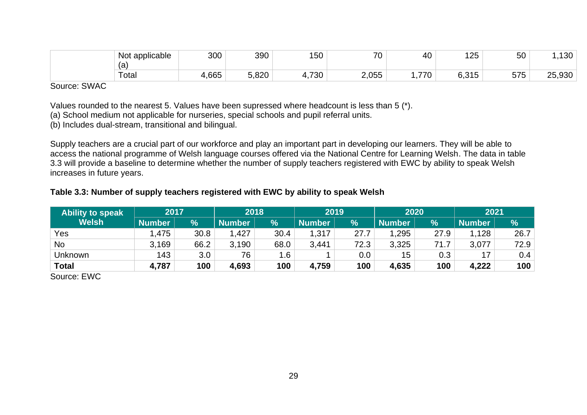| Not applicable | 300   | 390   | 150        | 70<br>ັບ                          | 40.        | $-$<br>l 25                                        | 50           | $\sqrt{2}$            |
|----------------|-------|-------|------------|-----------------------------------|------------|----------------------------------------------------|--------------|-----------------------|
| (a             |       |       |            |                                   |            |                                                    |              |                       |
| Total          | 4,665 | 5,820 | 730<br>т., | $\cap$ $\overline{\cap}$<br>Z,UJJ | 770<br>70. | $C$ $\Omega$ $\Gamma$<br>$\blacksquare$<br>U.U I U | 575<br>J I J | . റാറ<br>つに<br>∠ບ,ອບບ |

Source: SWAC

Values rounded to the nearest 5. Values have been supressed where headcount is less than 5 (\*).

(a) School medium not applicable for nurseries, special schools and pupil referral units.

(b) Includes dual-stream, transitional and bilingual.

Supply teachers are a crucial part of our workforce and play an important part in developing our learners. They will be able to access the national programme of Welsh language courses offered via the National Centre for Learning Welsh. The data in table 3.3 will provide a baseline to determine whether the number of supply teachers registered with EWC by ability to speak Welsh increases in future years.

### **Table 3.3: Number of supply teachers registered with EWC by ability to speak Welsh**

| <b>Ability to speak</b>    | 2017   |      |        | 2020<br>2018<br>2019 |               | 2021    |               |               |               |      |
|----------------------------|--------|------|--------|----------------------|---------------|---------|---------------|---------------|---------------|------|
| <b>Welsh</b>               | Number | %    | Number | $\%$                 | <b>Number</b> | %       | <b>Number</b> | $\frac{1}{2}$ | <b>Number</b> | %    |
| Yes                        | .475   | 30.8 | 1,427  | 30.4                 | 1,317         | 27.7    | 1,295         | 27.9          | 1,128         | 26.7 |
| <b>No</b>                  | 3,169  | 66.2 | 3,190  | 68.0                 | 3,441         | 72.3    | 3,325         | 71.7          | 3,077         | 72.9 |
| <b>Unknown</b>             | 143    | 3.0  | 76     | 1.6                  |               | $0.0\,$ | 15            | 0.3           | 17            | 0.4  |
| <b>Total</b>               | 4,787  | 100  | 4,693  | 100                  | 4,759         | 100     | 4,635         | 100           | 4,222         | 100  |
| S <sub>Ol</sub> irca: FINC |        |      |        |                      |               |         |               |               |               |      |

Source: EWC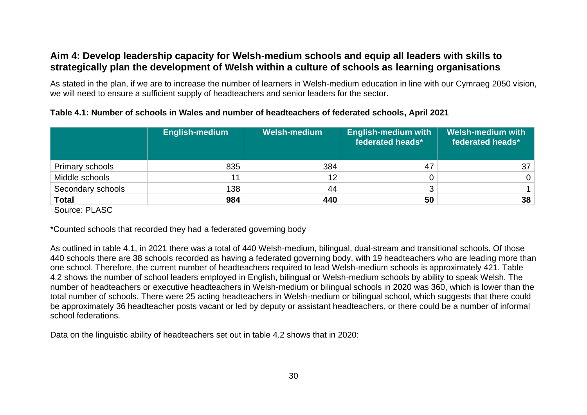# <span id="page-31-0"></span>**Aim 4: Develop leadership capacity for Welsh-medium schools and equip all leaders with skills to strategically plan the development of Welsh within a culture of schools as learning organisations**

As stated in the plan, if we are to increase the number of learners in Welsh-medium education in line with our Cymraeg 2050 vision, we will need to ensure a sufficient supply of headteachers and senior leaders for the sector.

|                                                    | English-medium | <b>Welsh-medium</b> | <b>English-medium with</b><br>federated heads* | <b>Welsh-medium with</b><br>federated heads* |
|----------------------------------------------------|----------------|---------------------|------------------------------------------------|----------------------------------------------|
| <b>Primary schools</b>                             | 835            | 384                 | 47                                             | 37                                           |
| Middle schools                                     | 11             | 12                  |                                                | $\overline{0}$                               |
| Secondary schools                                  | 138            | 44                  |                                                |                                              |
| <b>Total</b><br>$\sim$ $\sim$ $\sim$ $\sim$ $\sim$ | 984            | 440                 | 50                                             | 38                                           |

## **Table 4.1: Number of schools in Wales and number of headteachers of federated schools, April 2021**

Source: PLASC

\*Counted schools that recorded they had a federated governing body

As outlined in table 4.1, in 2021 there was a total of 440 Welsh-medium, bilingual, dual-stream and transitional schools. Of those 440 schools there are 38 schools recorded as having a federated governing body, with 19 headteachers who are leading more than one school. Therefore, the current number of headteachers required to lead Welsh-medium schools is approximately 421. Table 4.2 shows the number of school leaders employed in English, bilingual or Welsh-medium schools by ability to speak Welsh. The number of headteachers or executive headteachers in Welsh-medium or bilingual schools in 2020 was 360, which is lower than the total number of schools. There were 25 acting headteachers in Welsh-medium or bilingual school, which suggests that there could be approximately 36 headteacher posts vacant or led by deputy or assistant headteachers, or there could be a number of informal school federations.

Data on the linguistic ability of headteachers set out in table 4.2 shows that in 2020: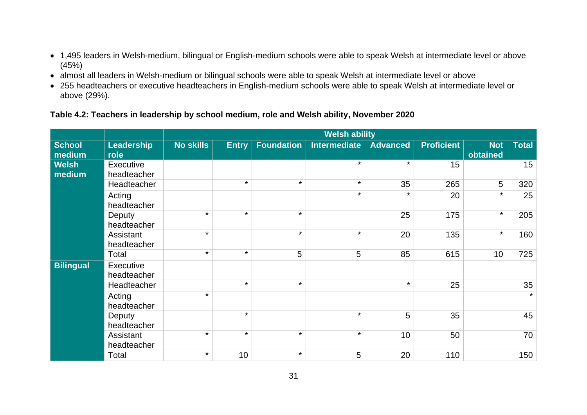- 1,495 leaders in Welsh-medium, bilingual or English-medium schools were able to speak Welsh at intermediate level or above (45%)
- almost all leaders in Welsh-medium or bilingual schools were able to speak Welsh at intermediate level or above
- 255 headteachers or executive headteachers in English-medium schools were able to speak Welsh at intermediate level or above (29%).

# **Table 4.2: Teachers in leadership by school medium, role and Welsh ability, November 2020**

|                         |                          |                  |              |                   | <b>Welsh ability</b> |                 |                   |                        |              |
|-------------------------|--------------------------|------------------|--------------|-------------------|----------------------|-----------------|-------------------|------------------------|--------------|
| <b>School</b><br>medium | Leadership<br>role       | <b>No skills</b> | <b>Entry</b> | <b>Foundation</b> | <b>Intermediate</b>  | <b>Advanced</b> | <b>Proficient</b> | <b>Not</b><br>obtained | <b>Total</b> |
| <b>Welsh</b><br>medium  | Executive<br>headteacher |                  |              |                   | $\star$              | $\star$         | 15                |                        | 15           |
|                         | Headteacher              |                  | $\star$      | $\star$           | $\star$              | 35              | 265               | 5                      | 320          |
|                         | Acting<br>headteacher    |                  |              |                   | $\star$              | $\star$         | 20                | $\star$                | 25           |
|                         | Deputy<br>headteacher    | $\star$          | $\star$      | $\star$           |                      | 25              | 175               | $\star$                | 205          |
|                         | Assistant<br>headteacher | $\star$          |              | $\star$           | $\star$              | 20              | 135               | $\star$                | 160          |
|                         | Total                    | $\star$          | $\star$      | 5                 | 5                    | 85              | 615               | 10 <sup>1</sup>        | 725          |
| <b>Bilingual</b>        | Executive<br>headteacher |                  |              |                   |                      |                 |                   |                        |              |
|                         | Headteacher              |                  | $\star$      | $\star$           |                      | $\star$         | 25                |                        | 35           |
|                         | Acting<br>headteacher    | $\star$          |              |                   |                      |                 |                   |                        | $\star$      |
|                         | Deputy<br>headteacher    |                  | $\star$      |                   | $\star$              | 5               | 35                |                        | 45           |
|                         | Assistant<br>headteacher | $\star$          | $\star$      | $\star$           | $\star$              | 10              | 50                |                        | 70           |
|                         | Total                    | $\star$          | 10           | $\star$           | 5                    | 20              | 110               |                        | 150          |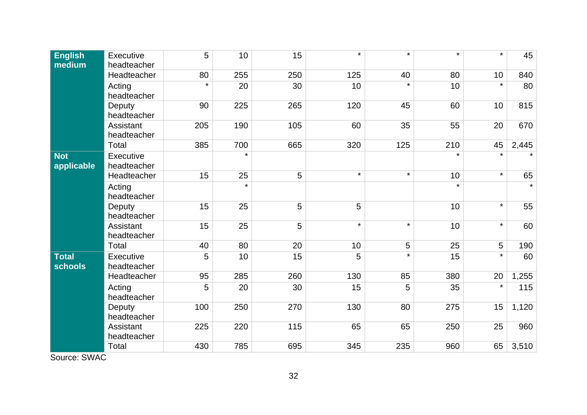| <b>English</b><br>medium       | Executive<br>headteacher | 5       | 10      | 15  | $\star$ | $\star$ | $\star$ | $\star$ | 45      |
|--------------------------------|--------------------------|---------|---------|-----|---------|---------|---------|---------|---------|
|                                | Headteacher              | 80      | 255     | 250 | 125     | 40      | 80      | 10      | 840     |
|                                | Acting<br>headteacher    | $\star$ | 20      | 30  | 10      | $\star$ | 10      | $\star$ | 80      |
|                                | Deputy<br>headteacher    | 90      | 225     | 265 | 120     | 45      | 60      | 10      | 815     |
|                                | Assistant<br>headteacher | 205     | 190     | 105 | 60      | 35      | 55      | 20      | 670     |
|                                | Total                    | 385     | 700     | 665 | 320     | 125     | 210     | 45      | 2,445   |
| <b>Not</b><br>applicable       | Executive<br>headteacher |         | $\star$ |     |         |         | $\star$ | $\star$ |         |
|                                | Headteacher              | 15      | 25      | 5   | $\star$ | $\star$ | 10      | $\star$ | 65      |
|                                | Acting<br>headteacher    |         | $\star$ |     |         |         | $\star$ |         | $\star$ |
|                                | Deputy<br>headteacher    | 15      | 25      | 5   | 5       |         | 10      | $\star$ | 55      |
|                                | Assistant<br>headteacher | 15      | 25      | 5   | $\star$ | $\star$ | 10      | $\star$ | 60      |
|                                | Total                    | 40      | 80      | 20  | 10      | 5       | 25      | 5       | 190     |
| <b>Total</b><br><b>schools</b> | Executive<br>headteacher | 5       | 10      | 15  | 5       | $\star$ | 15      | $\star$ | 60      |
|                                | Headteacher              | 95      | 285     | 260 | 130     | 85      | 380     | 20      | 1,255   |
|                                | Acting<br>headteacher    | 5       | 20      | 30  | 15      | 5       | 35      | $\star$ | 115     |
|                                | Deputy<br>headteacher    | 100     | 250     | 270 | 130     | 80      | 275     | 15      | 1,120   |
|                                | Assistant<br>headteacher | 225     | 220     | 115 | 65      | 65      | 250     | 25      | 960     |
|                                | Total                    | 430     | 785     | 695 | 345     | 235     | 960     | 65      | 3,510   |

Source: SWAC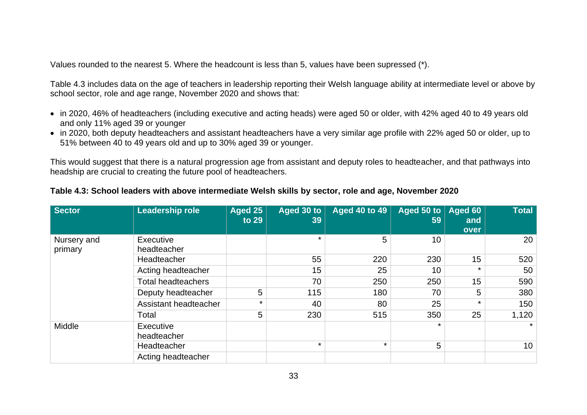Values rounded to the nearest 5. Where the headcount is less than 5, values have been supressed (\*).

Table 4.3 includes data on the age of teachers in leadership reporting their Welsh language ability at intermediate level or above by school sector, role and age range, November 2020 and shows that:

- in 2020, 46% of headteachers (including executive and acting heads) were aged 50 or older, with 42% aged 40 to 49 years old and only 11% aged 39 or younger
- in 2020, both deputy headteachers and assistant headteachers have a very similar age profile with 22% aged 50 or older, up to 51% between 40 to 49 years old and up to 30% aged 39 or younger.

This would suggest that there is a natural progression age from assistant and deputy roles to headteacher, and that pathways into headship are crucial to creating the future pool of headteachers.

| <b>Sector</b>          | Leadership role           | Aged 25<br>to 29 | Aged 30 to<br>39 | <b>Aged 40 to 49</b> | Aged 50 to $ $<br>59 | Aged 60<br>and<br>over | <b>Total</b>    |
|------------------------|---------------------------|------------------|------------------|----------------------|----------------------|------------------------|-----------------|
| Nursery and<br>primary | Executive<br>headteacher  |                  | $\star$          | 5                    | 10                   |                        | 20              |
|                        | Headteacher               |                  | 55               | 220                  | 230                  | 15                     | 520             |
|                        | Acting headteacher        |                  | 15               | 25                   | 10                   | $\star$                | 50              |
|                        | <b>Total headteachers</b> |                  | 70               | 250                  | 250                  | 15                     | 590             |
|                        | Deputy headteacher        | 5                | 115              | 180                  | 70                   | 5                      | 380             |
|                        | Assistant headteacher     | $\star$          | 40               | 80                   | 25                   | $\star$                | 150             |
|                        | Total                     | 5                | 230              | 515                  | 350                  | 25                     | 1,120           |
| Middle                 | Executive<br>headteacher  |                  |                  |                      | $\star$              |                        | $\star$         |
|                        | Headteacher               |                  | $\star$          | $\star$              | 5                    |                        | 10 <sup>°</sup> |
|                        | Acting headteacher        |                  |                  |                      |                      |                        |                 |

### **Table 4.3: School leaders with above intermediate Welsh skills by sector, role and age, November 2020**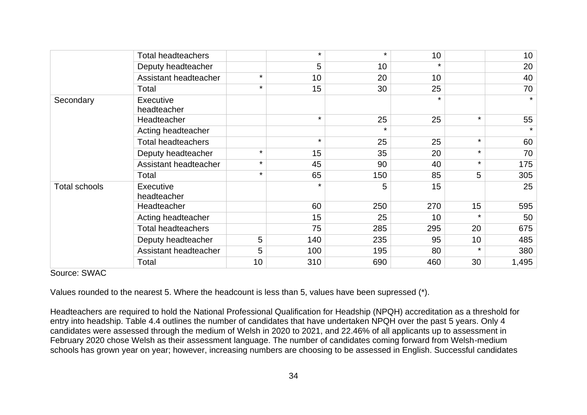|                      | <b>Total headteachers</b>       |         | $\star$ | $\star$ | 10              |         | 10 <sup>°</sup> |
|----------------------|---------------------------------|---------|---------|---------|-----------------|---------|-----------------|
|                      | Deputy headteacher              |         | 5       | 10      |                 |         | 20              |
|                      | Assistant headteacher           | $\star$ | 10      | 20      | 10 <sup>°</sup> |         | 40              |
|                      | Total                           | $\star$ | 15      | 30      | 25              |         | 70              |
| Secondary            | <b>Executive</b><br>headteacher |         |         |         | $\star$         |         | $\star$         |
|                      | Headteacher                     |         | $\star$ | 25      | 25              | $\star$ | 55              |
|                      | Acting headteacher              |         |         | $\star$ |                 |         | $\star$         |
|                      | <b>Total headteachers</b>       |         | $\star$ | 25      | 25              | $\star$ | 60              |
|                      | Deputy headteacher              | $\star$ | 15      | 35      | 20              | $\star$ | 70              |
|                      | Assistant headteacher           | $\star$ | 45      | 90      | 40              | $\star$ | 175             |
|                      | Total                           | $\star$ | 65      | 150     | 85              | 5       | 305             |
| <b>Total schools</b> | <b>Executive</b><br>headteacher |         | $\star$ | 5       | 15              |         | 25              |
|                      | Headteacher                     |         | 60      | 250     | 270             | 15      | 595             |
|                      | Acting headteacher              |         | 15      | 25      | 10              |         | 50              |
|                      | <b>Total headteachers</b>       |         | 75      | 285     | 295             | 20      | 675             |
|                      | Deputy headteacher              | 5       | 140     | 235     | 95              | 10      | 485             |
|                      | Assistant headteacher           | 5       | 100     | 195     | 80              | $\star$ | 380             |
|                      | Total                           | 10      | 310     | 690     | 460             | 30      | 1,495           |

#### Source: SWAC

Values rounded to the nearest 5. Where the headcount is less than 5, values have been supressed (\*).

Headteachers are required to hold the National Professional Qualification for Headship (NPQH) accreditation as a threshold for entry into headship. Table 4.4 outlines the number of candidates that have undertaken NPQH over the past 5 years. Only 4 candidates were assessed through the medium of Welsh in 2020 to 2021, and 22.46% of all applicants up to assessment in February 2020 chose Welsh as their assessment language. The number of candidates coming forward from Welsh-medium schools has grown year on year; however, increasing numbers are choosing to be assessed in English. Successful candidates